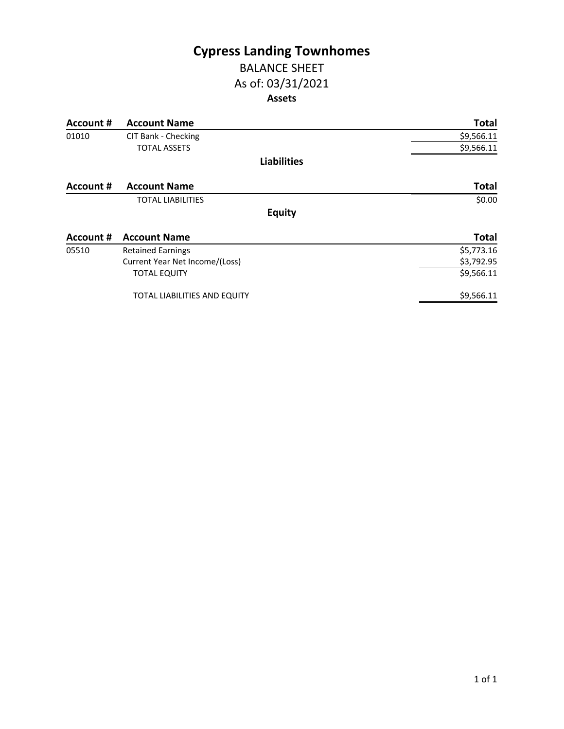# **Cypress Landing Townhomes**

### BALANCE SHEET As of: 03/31/2021 **Assets**

| <b>Account #</b> | <b>Account Name</b>                 | <b>Total</b> |
|------------------|-------------------------------------|--------------|
| 01010            | CIT Bank - Checking                 | \$9,566.11   |
|                  | <b>TOTAL ASSETS</b>                 | \$9,566.11   |
|                  | <b>Liabilities</b>                  |              |
| Account #        | <b>Account Name</b>                 | <b>Total</b> |
|                  | <b>TOTAL LIABILITIES</b>            | \$0.00       |
|                  | <b>Equity</b>                       |              |
| Account #        | <b>Account Name</b>                 | <b>Total</b> |
| 05510            | <b>Retained Earnings</b>            | \$5,773.16   |
|                  | Current Year Net Income/(Loss)      | \$3,792.95   |
|                  | <b>TOTAL EQUITY</b>                 | \$9,566.11   |
|                  | <b>TOTAL LIABILITIES AND EQUITY</b> | \$9,566.11   |